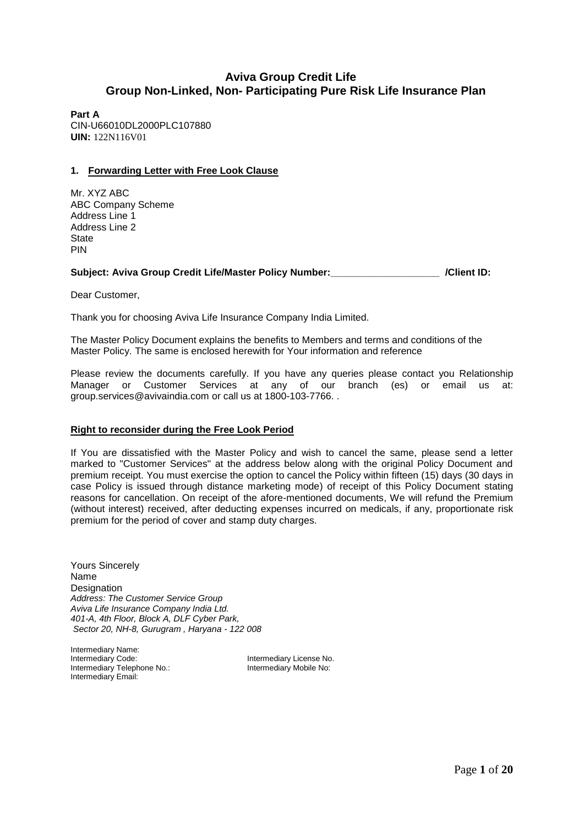# **Aviva Group Credit Life Group Non-Linked, Non- Participating Pure Risk Life Insurance Plan**

**Part A** CIN-U66010DL2000PLC107880 **UIN:** 122N116V01

### **1. Forwarding Letter with Free Look Clause**

Mr. XYZ ABC ABC Company Scheme Address Line 1 Address Line 2 State PIN

### Subject: Aviva Group Credit Life/Master Policy Number: **We are all assets that Australian** *(Client ID:*

Dear Customer,

Thank you for choosing Aviva Life Insurance Company India Limited.

The Master Policy Document explains the benefits to Members and terms and conditions of the Master Policy. The same is enclosed herewith for Your information and reference

Please review the documents carefully. If you have any queries please contact you Relationship Manager or Customer Services at any of our branch (es) or email us at: group.services@avivaindia.com or call us at 1800-103-7766. .

### **Right to reconsider during the Free Look Period**

If You are dissatisfied with the Master Policy and wish to cancel the same, please send a letter marked to "Customer Services" at the address below along with the original Policy Document and premium receipt. You must exercise the option to cancel the Policy within fifteen (15) days (30 days in case Policy is issued through distance marketing mode) of receipt of this Policy Document stating reasons for cancellation. On receipt of the afore-mentioned documents, We will refund the Premium (without interest) received, after deducting expenses incurred on medicals, if any, proportionate risk premium for the period of cover and stamp duty charges.

Yours Sincerely Name **Designation** *Address: The Customer Service Group Aviva Life Insurance Company India Ltd. 401-A, 4th Floor, Block A, DLF Cyber Park, Sector 20, NH-8, Gurugram , Haryana - 122 008*

Intermediary Name:<br>Intermediary Code: Intermediary Telephone No.: Intermediary Mobile No: Intermediary Email:

Intermediary License No.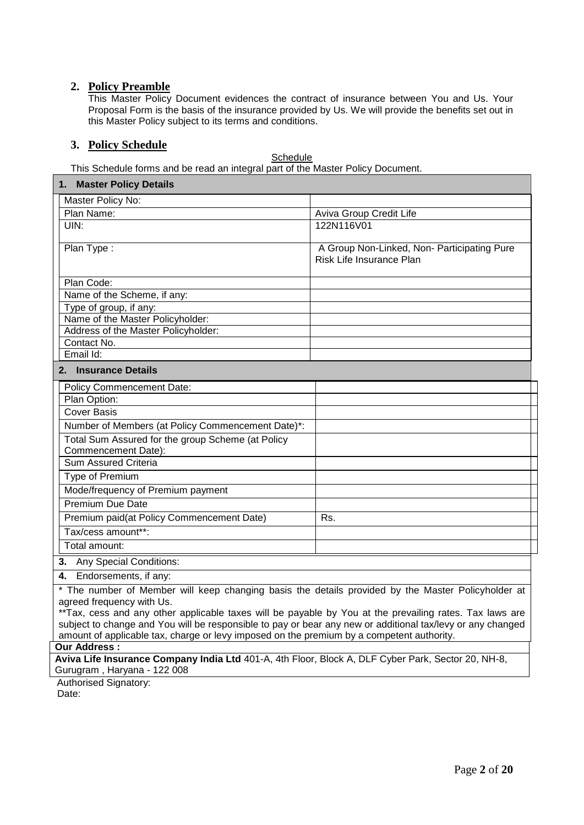# **2. Policy Preamble**

This Master Policy Document evidences the contract of insurance between You and Us. Your Proposal Form is the basis of the insurance provided by Us. We will provide the benefits set out in this Master Policy subject to its terms and conditions.

# **3. Policy Schedule**

## **Schedule**

This Schedule forms and be read an integral part of the Master Policy Document.

| 1. Master Policy Details                                                                                                                                                                                                                                                                                                                                                                                                                               |                                                                         |  |  |  |
|--------------------------------------------------------------------------------------------------------------------------------------------------------------------------------------------------------------------------------------------------------------------------------------------------------------------------------------------------------------------------------------------------------------------------------------------------------|-------------------------------------------------------------------------|--|--|--|
| Master Policy No:                                                                                                                                                                                                                                                                                                                                                                                                                                      |                                                                         |  |  |  |
| Plan Name:                                                                                                                                                                                                                                                                                                                                                                                                                                             | Aviva Group Credit Life                                                 |  |  |  |
| UIN:                                                                                                                                                                                                                                                                                                                                                                                                                                                   | 122N116V01                                                              |  |  |  |
| Plan Type:                                                                                                                                                                                                                                                                                                                                                                                                                                             | A Group Non-Linked, Non- Participating Pure<br>Risk Life Insurance Plan |  |  |  |
| Plan Code:                                                                                                                                                                                                                                                                                                                                                                                                                                             |                                                                         |  |  |  |
| Name of the Scheme, if any:                                                                                                                                                                                                                                                                                                                                                                                                                            |                                                                         |  |  |  |
| Type of group, if any:                                                                                                                                                                                                                                                                                                                                                                                                                                 |                                                                         |  |  |  |
| Name of the Master Policyholder:                                                                                                                                                                                                                                                                                                                                                                                                                       |                                                                         |  |  |  |
| Address of the Master Policyholder:                                                                                                                                                                                                                                                                                                                                                                                                                    |                                                                         |  |  |  |
| Contact No.                                                                                                                                                                                                                                                                                                                                                                                                                                            |                                                                         |  |  |  |
| Email Id:                                                                                                                                                                                                                                                                                                                                                                                                                                              |                                                                         |  |  |  |
| <b>2. Insurance Details</b>                                                                                                                                                                                                                                                                                                                                                                                                                            |                                                                         |  |  |  |
| <b>Policy Commencement Date:</b>                                                                                                                                                                                                                                                                                                                                                                                                                       |                                                                         |  |  |  |
| Plan Option:                                                                                                                                                                                                                                                                                                                                                                                                                                           |                                                                         |  |  |  |
| <b>Cover Basis</b>                                                                                                                                                                                                                                                                                                                                                                                                                                     |                                                                         |  |  |  |
| Number of Members (at Policy Commencement Date)*:                                                                                                                                                                                                                                                                                                                                                                                                      |                                                                         |  |  |  |
| Total Sum Assured for the group Scheme (at Policy                                                                                                                                                                                                                                                                                                                                                                                                      |                                                                         |  |  |  |
| Commencement Date):                                                                                                                                                                                                                                                                                                                                                                                                                                    |                                                                         |  |  |  |
| <b>Sum Assured Criteria</b>                                                                                                                                                                                                                                                                                                                                                                                                                            |                                                                         |  |  |  |
| Type of Premium                                                                                                                                                                                                                                                                                                                                                                                                                                        |                                                                         |  |  |  |
| Mode/frequency of Premium payment                                                                                                                                                                                                                                                                                                                                                                                                                      |                                                                         |  |  |  |
| <b>Premium Due Date</b>                                                                                                                                                                                                                                                                                                                                                                                                                                |                                                                         |  |  |  |
| Premium paid(at Policy Commencement Date)                                                                                                                                                                                                                                                                                                                                                                                                              | Rs.                                                                     |  |  |  |
| Tax/cess amount**:                                                                                                                                                                                                                                                                                                                                                                                                                                     |                                                                         |  |  |  |
| Total amount:                                                                                                                                                                                                                                                                                                                                                                                                                                          |                                                                         |  |  |  |
| 3. Any Special Conditions:                                                                                                                                                                                                                                                                                                                                                                                                                             |                                                                         |  |  |  |
| 4. Endorsements, if any:                                                                                                                                                                                                                                                                                                                                                                                                                               |                                                                         |  |  |  |
| * The number of Member will keep changing basis the details provided by the Master Policyholder at<br>agreed frequency with Us.<br>** Tax, cess and any other applicable taxes will be payable by You at the prevailing rates. Tax laws are<br>subject to change and You will be responsible to pay or bear any new or additional tax/levy or any changed<br>amount of applicable tax, charge or levy imposed on the premium by a competent authority. |                                                                         |  |  |  |
| <b>Our Address:</b>                                                                                                                                                                                                                                                                                                                                                                                                                                    |                                                                         |  |  |  |
| Aviva Life Insurance Company India Ltd 401-A, 4th Floor, Block A, DLF Cyber Park, Sector 20, NH-8,                                                                                                                                                                                                                                                                                                                                                     |                                                                         |  |  |  |

Gurugram , Haryana - 122 008

 Authorised Signatory: Date: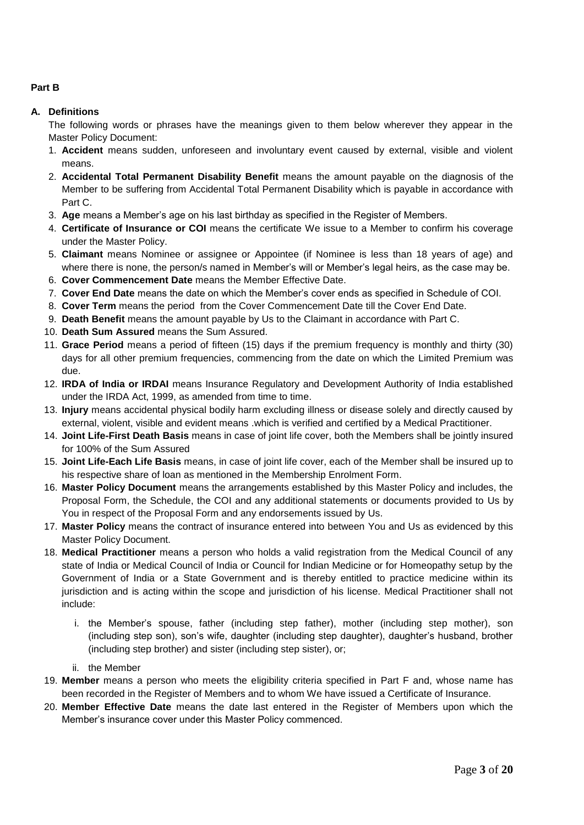# **Part B**

## **A. Definitions**

The following words or phrases have the meanings given to them below wherever they appear in the Master Policy Document:

- 1. **Accident** means sudden, unforeseen and involuntary event caused by external, visible and violent means.
- 2. **Accidental Total Permanent Disability Benefit** means the amount payable on the diagnosis of the Member to be suffering from Accidental Total Permanent Disability which is payable in accordance with Part C.
- 3. **Age** means a Member's age on his last birthday as specified in the Register of Members.
- 4. **Certificate of Insurance or COI** means the certificate We issue to a Member to confirm his coverage under the Master Policy.
- 5. **Claimant** means Nominee or assignee or Appointee (if Nominee is less than 18 years of age) and where there is none, the person/s named in Member's will or Member's legal heirs, as the case may be.
- 6. **Cover Commencement Date** means the Member Effective Date.
- 7. **Cover End Date** means the date on which the Member's cover ends as specified in Schedule of COI.
- 8. **Cover Term** means the period from the Cover Commencement Date till the Cover End Date.
- 9. **Death Benefit** means the amount payable by Us to the Claimant in accordance with Part C.
- 10. **Death Sum Assured** means the Sum Assured.
- 11. **Grace Period** means a period of fifteen (15) days if the premium frequency is monthly and thirty (30) days for all other premium frequencies, commencing from the date on which the Limited Premium was due.
- 12. **IRDA of India or IRDAI** means Insurance Regulatory and Development Authority of India established under the IRDA Act, 1999, as amended from time to time.
- 13. **Injury** means accidental physical bodily harm excluding illness or disease solely and directly caused by external, violent, visible and evident means .which is verified and certified by a Medical Practitioner.
- 14. **Joint Life-First Death Basis** means in case of joint life cover, both the Members shall be jointly insured for 100% of the Sum Assured
- 15. **Joint Life-Each Life Basis** means, in case of joint life cover, each of the Member shall be insured up to his respective share of loan as mentioned in the Membership Enrolment Form.
- 16. **Master Policy Document** means the arrangements established by this Master Policy and includes, the Proposal Form, the Schedule, the COI and any additional statements or documents provided to Us by You in respect of the Proposal Form and any endorsements issued by Us.
- 17. **Master Policy** means the contract of insurance entered into between You and Us as evidenced by this Master Policy Document.
- 18. **Medical Practitioner** means a person who holds a valid registration from the Medical Council of any state of India or Medical Council of India or Council for Indian Medicine or for Homeopathy setup by the Government of India or a State Government and is thereby entitled to practice medicine within its jurisdiction and is acting within the scope and jurisdiction of his license. Medical Practitioner shall not include:
	- i. the Member's spouse, father (including step father), mother (including step mother), son (including step son), son's wife, daughter (including step daughter), daughter's husband, brother (including step brother) and sister (including step sister), or;
	- ii. the Member
- 19. **Member** means a person who meets the eligibility criteria specified in Part F and, whose name has been recorded in the Register of Members and to whom We have issued a Certificate of Insurance.
- 20. **Member Effective Date** means the date last entered in the Register of Members upon which the Member's insurance cover under this Master Policy commenced.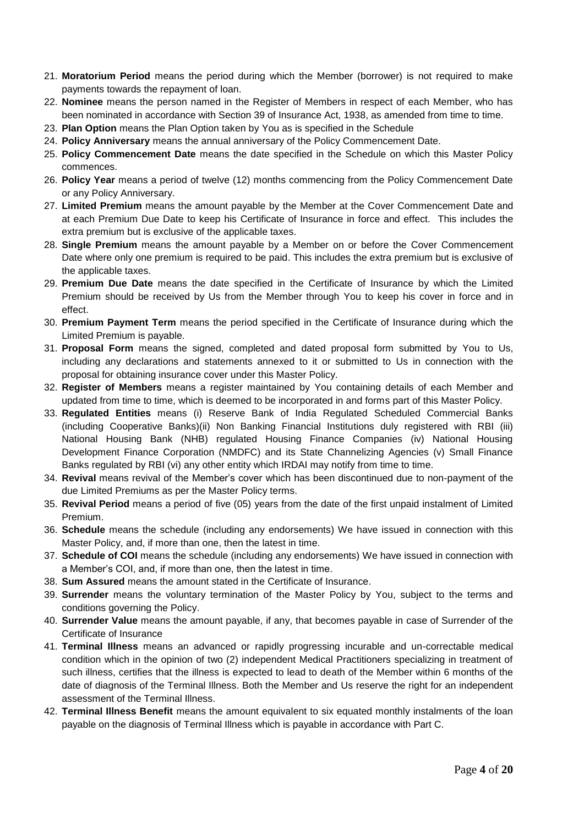- 21. **Moratorium Period** means the period during which the Member (borrower) is not required to make payments towards the repayment of loan.
- 22. **Nominee** means the person named in the Register of Members in respect of each Member, who has been nominated in accordance with Section 39 of Insurance Act, 1938, as amended from time to time.
- 23. **Plan Option** means the Plan Option taken by You as is specified in the Schedule
- 24. **Policy Anniversary** means the annual anniversary of the Policy Commencement Date.
- 25. **Policy Commencement Date** means the date specified in the Schedule on which this Master Policy commences.
- 26. **Policy Year** means a period of twelve (12) months commencing from the Policy Commencement Date or any Policy Anniversary.
- 27. **Limited Premium** means the amount payable by the Member at the Cover Commencement Date and at each Premium Due Date to keep his Certificate of Insurance in force and effect. This includes the extra premium but is exclusive of the applicable taxes.
- 28. **Single Premium** means the amount payable by a Member on or before the Cover Commencement Date where only one premium is required to be paid. This includes the extra premium but is exclusive of the applicable taxes.
- 29. **Premium Due Date** means the date specified in the Certificate of Insurance by which the Limited Premium should be received by Us from the Member through You to keep his cover in force and in effect.
- 30. **Premium Payment Term** means the period specified in the Certificate of Insurance during which the Limited Premium is payable.
- 31. **Proposal Form** means the signed, completed and dated proposal form submitted by You to Us, including any declarations and statements annexed to it or submitted to Us in connection with the proposal for obtaining insurance cover under this Master Policy.
- 32. **Register of Members** means a register maintained by You containing details of each Member and updated from time to time, which is deemed to be incorporated in and forms part of this Master Policy.
- 33. **Regulated Entities** means (i) Reserve Bank of India Regulated Scheduled Commercial Banks (including Cooperative Banks)(ii) Non Banking Financial Institutions duly registered with RBI (iii) National Housing Bank (NHB) regulated Housing Finance Companies (iv) National Housing Development Finance Corporation (NMDFC) and its State Channelizing Agencies (v) Small Finance Banks regulated by RBI (vi) any other entity which IRDAI may notify from time to time.
- 34. **Revival** means revival of the Member's cover which has been discontinued due to non-payment of the due Limited Premiums as per the Master Policy terms.
- 35. **Revival Period** means a period of five (05) years from the date of the first unpaid instalment of Limited Premium.
- 36. **Schedule** means the schedule (including any endorsements) We have issued in connection with this Master Policy, and, if more than one, then the latest in time.
- 37. **Schedule of COI** means the schedule (including any endorsements) We have issued in connection with a Member's COI, and, if more than one, then the latest in time.
- 38. **Sum Assured** means the amount stated in the Certificate of Insurance.
- 39. **Surrender** means the voluntary termination of the Master Policy by You, subject to the terms and conditions governing the Policy.
- 40. **Surrender Value** means the amount payable, if any, that becomes payable in case of Surrender of the Certificate of Insurance
- 41. **Terminal Illness** means an advanced or rapidly progressing incurable and un-correctable medical condition which in the opinion of two (2) independent Medical Practitioners specializing in treatment of such illness, certifies that the illness is expected to lead to death of the Member within 6 months of the date of diagnosis of the Terminal Illness. Both the Member and Us reserve the right for an independent assessment of the Terminal Illness.
- 42. **Terminal Illness Benefit** means the amount equivalent to six equated monthly instalments of the loan payable on the diagnosis of Terminal Illness which is payable in accordance with Part C.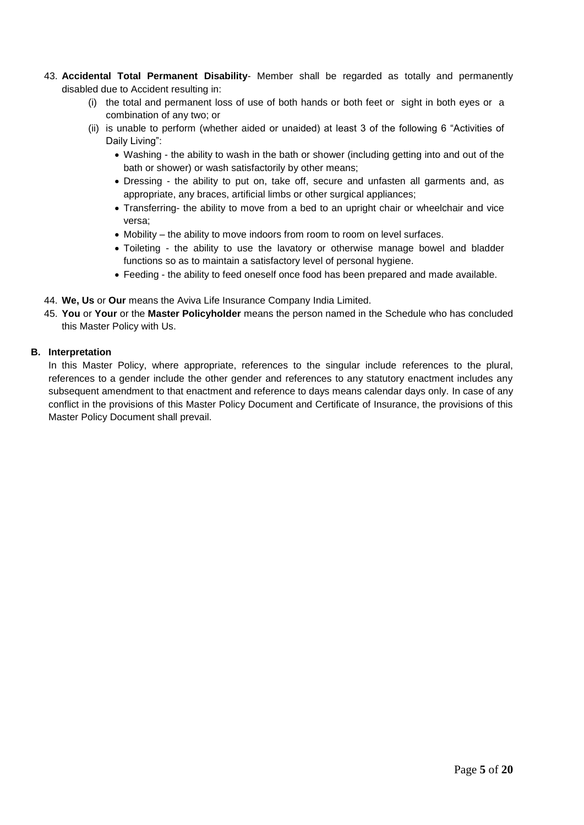- 43. **Accidental Total Permanent Disability** Member shall be regarded as totally and permanently disabled due to Accident resulting in:
	- (i) the total and permanent loss of use of both hands or both feet or sight in both eyes or a combination of any two; or
	- (ii) is unable to perform (whether aided or unaided) at least 3 of the following 6 "Activities of Daily Living":
		- Washing the ability to wash in the bath or shower (including getting into and out of the bath or shower) or wash satisfactorily by other means;
		- Dressing the ability to put on, take off, secure and unfasten all garments and, as appropriate, any braces, artificial limbs or other surgical appliances;
		- Transferring- the ability to move from a bed to an upright chair or wheelchair and vice versa;
		- Mobility the ability to move indoors from room to room on level surfaces.
		- Toileting the ability to use the lavatory or otherwise manage bowel and bladder functions so as to maintain a satisfactory level of personal hygiene.
		- Feeding the ability to feed oneself once food has been prepared and made available.
- 44. **We, Us** or **Our** means the Aviva Life Insurance Company India Limited.
- 45. **You** or **Your** or the **Master Policyholder** means the person named in the Schedule who has concluded this Master Policy with Us.

### **B. Interpretation**

In this Master Policy, where appropriate, references to the singular include references to the plural, references to a gender include the other gender and references to any statutory enactment includes any subsequent amendment to that enactment and reference to days means calendar days only. In case of any conflict in the provisions of this Master Policy Document and Certificate of Insurance, the provisions of this Master Policy Document shall prevail.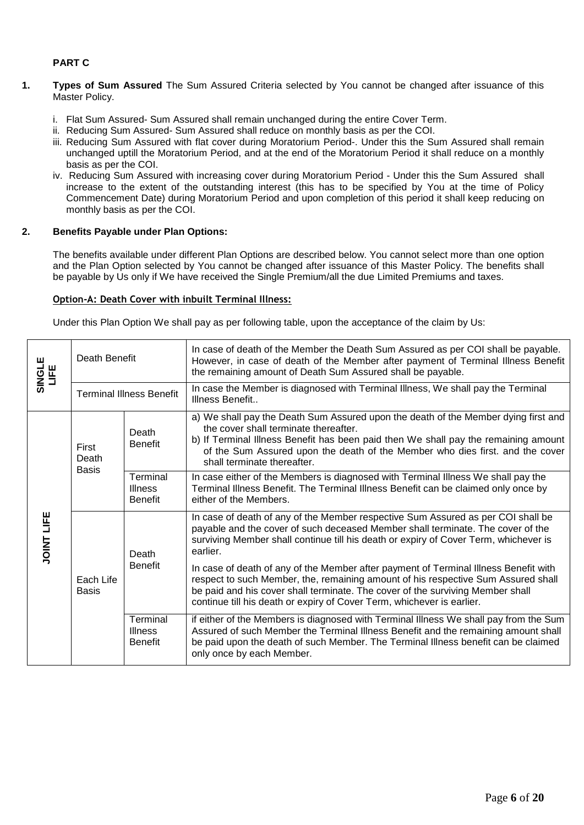# **PART C**

- **1. 1. Types of Sum Assured** The Sum Assured Criteria selected by You cannot be changed after issuance of this Master Policy.
	- i. Flat Sum Assured- Sum Assured shall remain unchanged during the entire Cover Term.
	- ii. Reducing Sum Assured- Sum Assured shall reduce on monthly basis as per the COI.
	- iii. Reducing Sum Assured with flat cover during Moratorium Period-. Under this the Sum Assured shall remain unchanged uptill the Moratorium Period, and at the end of the Moratorium Period it shall reduce on a monthly basis as per the COI.
	- iv. Reducing Sum Assured with increasing cover during Moratorium Period Under this the Sum Assured shall increase to the extent of the outstanding interest (this has to be specified by You at the time of Policy Commencement Date) during Moratorium Period and upon completion of this period it shall keep reducing on monthly basis as per the COI.

#### **2. Benefits Payable under Plan Options:**

The benefits available under different Plan Options are described below. You cannot select more than one option and the Plan Option selected by You cannot be changed after issuance of this Master Policy. The benefits shall be payable by Us only if We have received the Single Premium/all the due Limited Premiums and taxes.

#### **Option-A: Death Cover with inbuilt Terminal Illness:**

Under this Plan Option We shall pay as per following table, upon the acceptance of the claim by Us:

| SINGLE<br>LIFE    | Death Benefit                   |                                              | In case of death of the Member the Death Sum Assured as per COI shall be payable.<br>However, in case of death of the Member after payment of Terminal Illness Benefit<br>the remaining amount of Death Sum Assured shall be payable.                                                                                                 |  |
|-------------------|---------------------------------|----------------------------------------------|---------------------------------------------------------------------------------------------------------------------------------------------------------------------------------------------------------------------------------------------------------------------------------------------------------------------------------------|--|
|                   | <b>Terminal Illness Benefit</b> |                                              | In case the Member is diagnosed with Terminal Illness, We shall pay the Terminal<br>Illness Benefit                                                                                                                                                                                                                                   |  |
| <b>JOINT LIFE</b> | First<br>Death<br><b>Basis</b>  | Death<br><b>Benefit</b>                      | a) We shall pay the Death Sum Assured upon the death of the Member dying first and<br>the cover shall terminate thereafter.<br>b) If Terminal Illness Benefit has been paid then We shall pay the remaining amount<br>of the Sum Assured upon the death of the Member who dies first. and the cover<br>shall terminate thereafter.    |  |
|                   |                                 | Terminal<br><b>Illness</b><br><b>Benefit</b> | In case either of the Members is diagnosed with Terminal Illness We shall pay the<br>Terminal Illness Benefit. The Terminal Illness Benefit can be claimed only once by<br>either of the Members.                                                                                                                                     |  |
|                   | Each Life<br><b>Basis</b>       | Death<br><b>Benefit</b>                      | In case of death of any of the Member respective Sum Assured as per COI shall be<br>payable and the cover of such deceased Member shall terminate. The cover of the<br>surviving Member shall continue till his death or expiry of Cover Term, whichever is<br>earlier.                                                               |  |
|                   |                                 |                                              | In case of death of any of the Member after payment of Terminal Illness Benefit with<br>respect to such Member, the, remaining amount of his respective Sum Assured shall<br>be paid and his cover shall terminate. The cover of the surviving Member shall<br>continue till his death or expiry of Cover Term, whichever is earlier. |  |
|                   |                                 | Terminal<br><b>Illness</b><br><b>Benefit</b> | if either of the Members is diagnosed with Terminal Illness We shall pay from the Sum<br>Assured of such Member the Terminal Illness Benefit and the remaining amount shall<br>be paid upon the death of such Member. The Terminal Illness benefit can be claimed<br>only once by each Member.                                        |  |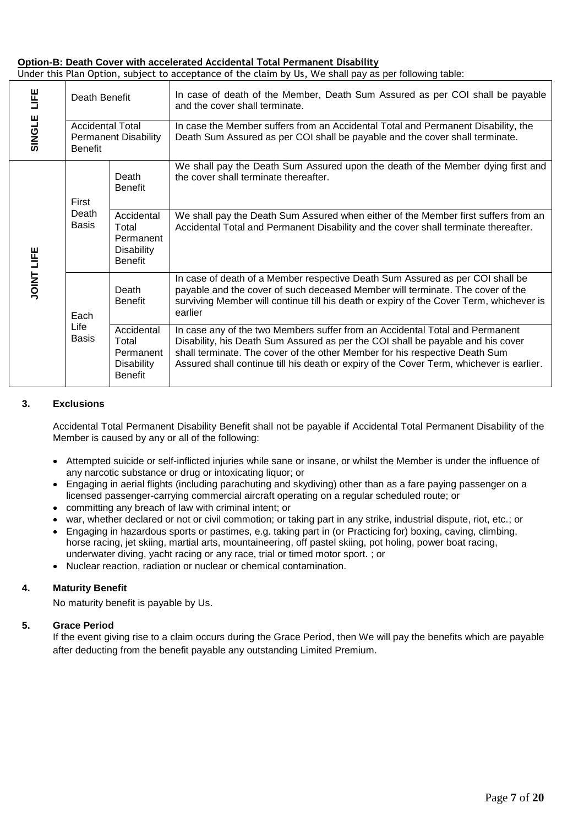#### **Option-B: Death Cover with accelerated Accidental Total Permanent Disability**

| Under this Plan Option, subject to acceptance of the claim by Us, We shall pay as per following table: |  |  |  |  |  |
|--------------------------------------------------------------------------------------------------------|--|--|--|--|--|
|--------------------------------------------------------------------------------------------------------|--|--|--|--|--|

| 当<br>Death Benefit |                                                                          |                                                                         | In case of death of the Member, Death Sum Assured as per COI shall be payable<br>and the cover shall terminate.                                                                                                                                                                                                                            |  |  |
|--------------------|--------------------------------------------------------------------------|-------------------------------------------------------------------------|--------------------------------------------------------------------------------------------------------------------------------------------------------------------------------------------------------------------------------------------------------------------------------------------------------------------------------------------|--|--|
| SINGLE             | <b>Accidental Total</b><br><b>Permanent Disability</b><br><b>Benefit</b> |                                                                         | In case the Member suffers from an Accidental Total and Permanent Disability, the<br>Death Sum Assured as per COI shall be payable and the cover shall terminate.                                                                                                                                                                          |  |  |
|                    | First                                                                    | Death<br><b>Benefit</b>                                                 | We shall pay the Death Sum Assured upon the death of the Member dying first and<br>the cover shall terminate thereafter.                                                                                                                                                                                                                   |  |  |
| <b>JOINT LIFE</b>  | Death<br>Basis                                                           | Accidental<br>Total<br>Permanent<br><b>Disability</b><br><b>Benefit</b> | We shall pay the Death Sum Assured when either of the Member first suffers from an<br>Accidental Total and Permanent Disability and the cover shall terminate thereafter.                                                                                                                                                                  |  |  |
|                    | Each                                                                     | Death<br><b>Benefit</b>                                                 | In case of death of a Member respective Death Sum Assured as per COI shall be<br>payable and the cover of such deceased Member will terminate. The cover of the<br>surviving Member will continue till his death or expiry of the Cover Term, whichever is<br>earlier                                                                      |  |  |
|                    | Life<br><b>Basis</b>                                                     | Accidental<br>Total<br>Permanent<br><b>Disability</b><br><b>Benefit</b> | In case any of the two Members suffer from an Accidental Total and Permanent<br>Disability, his Death Sum Assured as per the COI shall be payable and his cover<br>shall terminate. The cover of the other Member for his respective Death Sum<br>Assured shall continue till his death or expiry of the Cover Term, whichever is earlier. |  |  |

### **3. Exclusions**

Accidental Total Permanent Disability Benefit shall not be payable if Accidental Total Permanent Disability of the Member is caused by any or all of the following:

- Attempted suicide or self-inflicted injuries while sane or insane, or whilst the Member is under the influence of any narcotic substance or drug or intoxicating liquor; or
- Engaging in aerial flights (including parachuting and skydiving) other than as a fare paying passenger on a licensed passenger-carrying commercial aircraft operating on a regular scheduled route; or
- committing any breach of law with criminal intent; or
- war, whether declared or not or civil commotion; or taking part in any strike, industrial dispute, riot, etc.; or
- Engaging in hazardous sports or pastimes, e.g. taking part in (or Practicing for) boxing, caving, climbing, horse racing, jet skiing, martial arts, mountaineering, off pastel skiing, pot holing, power boat racing, underwater diving, yacht racing or any race, trial or timed motor sport. ; or
- Nuclear reaction, radiation or nuclear or chemical contamination.

### **4. Maturity Benefit**

No maturity benefit is payable by Us.

### **5. Grace Period**

If the event giving rise to a claim occurs during the Grace Period, then We will pay the benefits which are payable after deducting from the benefit payable any outstanding Limited Premium.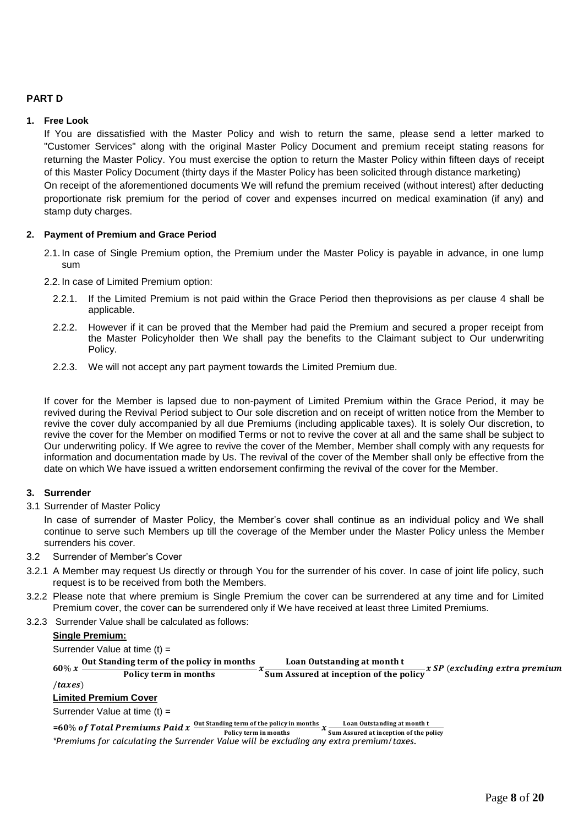## **PART D**

### **1. Free Look**

If You are dissatisfied with the Master Policy and wish to return the same, please send a letter marked to "Customer Services" along with the original Master Policy Document and premium receipt stating reasons for returning the Master Policy. You must exercise the option to return the Master Policy within fifteen days of receipt of this Master Policy Document (thirty days if the Master Policy has been solicited through distance marketing) On receipt of the aforementioned documents We will refund the premium received (without interest) after deducting proportionate risk premium for the period of cover and expenses incurred on medical examination (if any) and stamp duty charges.

#### **2. Payment of Premium and Grace Period**

2.1. In case of Single Premium option, the Premium under the Master Policy is payable in advance, in one lump sum

2.2. In case of Limited Premium option:

- 2.2.1. If the Limited Premium is not paid within the Grace Period then theprovisions as per clause 4 shall be applicable.
- 2.2.2. However if it can be proved that the Member had paid the Premium and secured a proper receipt from the Master Policyholder then We shall pay the benefits to the Claimant subject to Our underwriting Policy.
- 2.2.3. We will not accept any part payment towards the Limited Premium due.

If cover for the Member is lapsed due to non-payment of Limited Premium within the Grace Period, it may be revived during the Revival Period subject to Our sole discretion and on receipt of written notice from the Member to revive the cover duly accompanied by all due Premiums (including applicable taxes). It is solely Our discretion, to revive the cover for the Member on modified Terms or not to revive the cover at all and the same shall be subject to Our underwriting policy. If We agree to revive the cover of the Member, Member shall comply with any requests for information and documentation made by Us. The revival of the cover of the Member shall only be effective from the date on which We have issued a written endorsement confirming the revival of the cover for the Member.

### **3. Surrender**

3.1 Surrender of Master Policy

In case of surrender of Master Policy, the Member's cover shall continue as an individual policy and We shall continue to serve such Members up till the coverage of the Member under the Master Policy unless the Member surrenders his cover.

#### 3.2 Surrender of Member's Cover

- 3.2.1 A Member may request Us directly or through You for the surrender of his cover. In case of joint life policy, such request is to be received from both the Members.
- 3.2.2 Please note that where premium is Single Premium the cover can be surrendered at any time and for Limited Premium cover, the cover c**a**n be surrendered only if We have received at least three Limited Premiums.
- 3.2.3 Surrender Value shall be calculated as follows:

#### **Single Premium:**

Surrender Value at time (t) =  $60\% x$ Out Standing term of the policy in months Policy term in months Loan Outstanding at month t  $\frac{1}{\text{Sum}$  Assured at inception of the policy  $x$  SP (excluding extra premium  $\langle taxes \rangle$ **Limited Premium Cover** Surrender Value at time (t) =

=60% of Total Premiums Paid x  $\frac{0$ ut Standing term of the policy in months  $x \frac{$  Loan Outstanding at month t<br>Policy term in months  $x \frac{1}{\text{Sum Assured at inception of the p}}$ Sum Assured at inception of the policy *\*Premiums for calculating the Surrender Value will be excluding any extra premium/taxes.*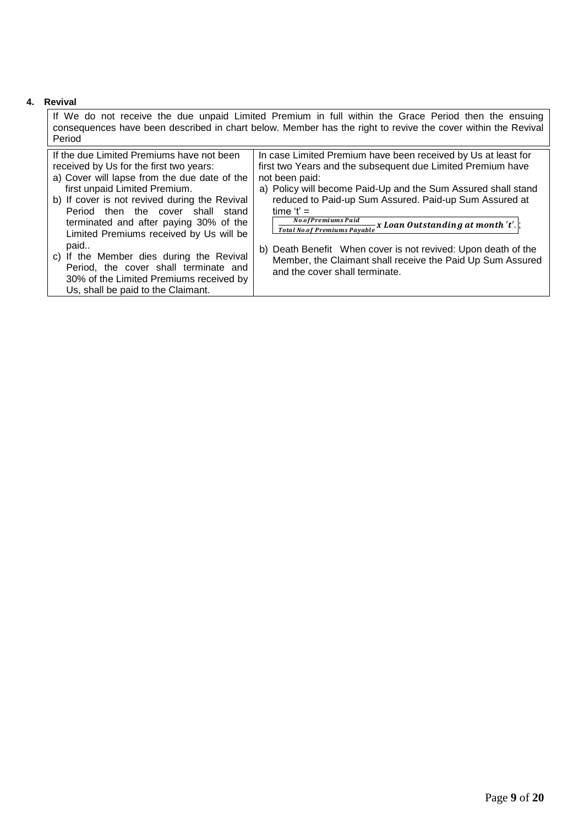## **4. Revival**

If We do not receive the due unpaid Limited Premium in full within the Grace Period then the ensuing consequences have been described in chart below. Member has the right to revive the cover within the Revival Period If the due Limited Premiums have not been In case Limited Premium have been received by Us at least for

| received by Us for the first two years:       | first two Years and the subsequent due Limited Premium have                          |  |  |
|-----------------------------------------------|--------------------------------------------------------------------------------------|--|--|
| a) Cover will lapse from the due date of the  | not been paid:                                                                       |  |  |
| first unpaid Limited Premium.                 | a) Policy will become Paid-Up and the Sum Assured shall stand                        |  |  |
| b) If cover is not revived during the Revival | reduced to Paid-up Sum Assured. Paid-up Sum Assured at                               |  |  |
| Period then the cover shall<br>stand          | time $t' =$                                                                          |  |  |
| terminated and after paying 30% of the        | No.of Premiums Paid<br>Total No.of Premiums Payable x Loan Outstanding at month 't'. |  |  |
| Limited Premiums received by Us will be       |                                                                                      |  |  |
| paid                                          | b) Death Benefit When cover is not revived: Upon death of the                        |  |  |
| c) If the Member dies during the Revival      | Member, the Claimant shall receive the Paid Up Sum Assured                           |  |  |
| Period, the cover shall terminate and         | and the cover shall terminate.                                                       |  |  |
| 30% of the Limited Premiums received by       |                                                                                      |  |  |
| Us, shall be paid to the Claimant.            |                                                                                      |  |  |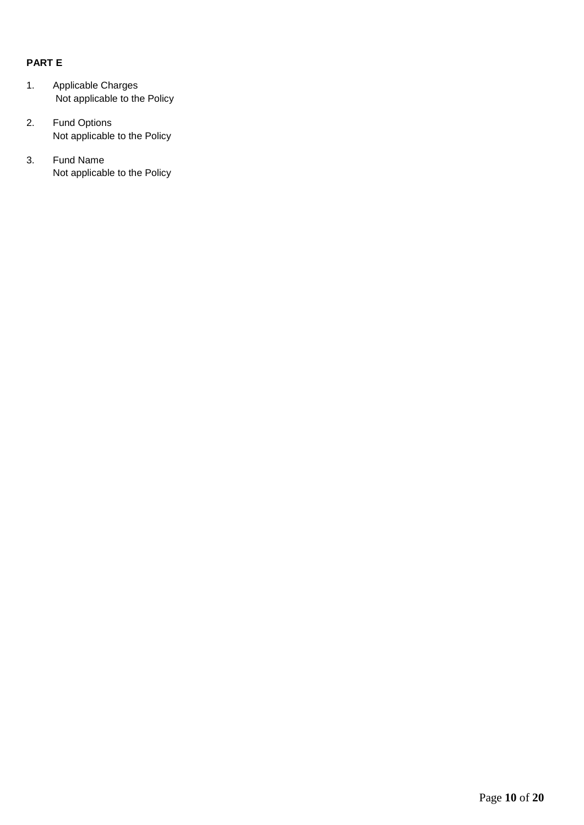# **PART E**

- 1. Applicable Charges Not applicable to the Policy
- 2. Fund Options Not applicable to the Policy
- 3. Fund Name Not applicable to the Policy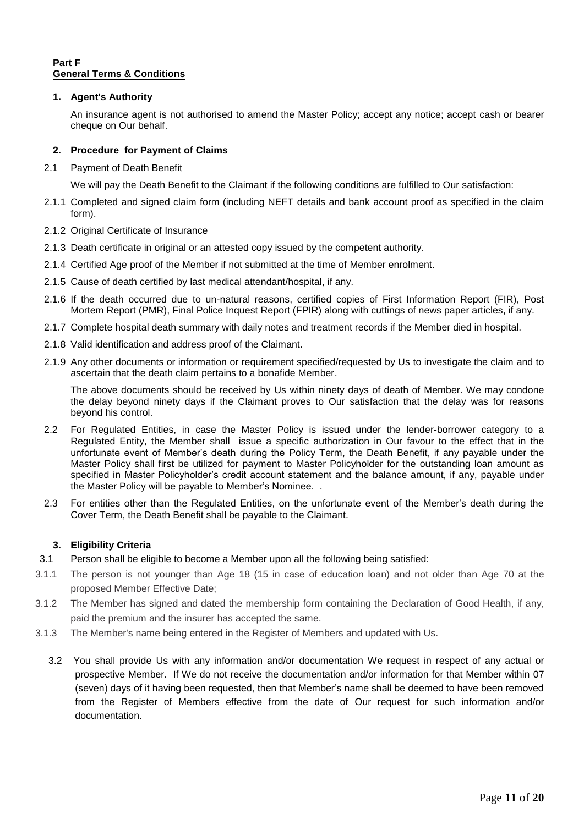## **Part F General Terms & Conditions**

### **1. Agent's Authority**

An insurance agent is not authorised to amend the Master Policy; accept any notice; accept cash or bearer cheque on Our behalf.

## **2. Procedure for Payment of Claims**

2.1 Payment of Death Benefit

We will pay the Death Benefit to the Claimant if the following conditions are fulfilled to Our satisfaction:

- 2.1.1 Completed and signed claim form (including NEFT details and bank account proof as specified in the claim form).
- 2.1.2 Original Certificate of Insurance
- 2.1.3 Death certificate in original or an attested copy issued by the competent authority.
- 2.1.4 Certified Age proof of the Member if not submitted at the time of Member enrolment.
- 2.1.5 Cause of death certified by last medical attendant/hospital, if any.
- 2.1.6 If the death occurred due to un-natural reasons, certified copies of First Information Report (FIR), Post Mortem Report (PMR), Final Police Inquest Report (FPIR) along with cuttings of news paper articles, if any.
- 2.1.7 Complete hospital death summary with daily notes and treatment records if the Member died in hospital.
- 2.1.8 Valid identification and address proof of the Claimant.
- 2.1.9 Any other documents or information or requirement specified/requested by Us to investigate the claim and to ascertain that the death claim pertains to a bonafide Member.

The above documents should be received by Us within ninety days of death of Member. We may condone the delay beyond ninety days if the Claimant proves to Our satisfaction that the delay was for reasons beyond his control.

- 2.2 For Regulated Entities, in case the Master Policy is issued under the lender-borrower category to a Regulated Entity, the Member shall issue a specific authorization in Our favour to the effect that in the unfortunate event of Member's death during the Policy Term, the Death Benefit, if any payable under the Master Policy shall first be utilized for payment to Master Policyholder for the outstanding loan amount as specified in Master Policyholder's credit account statement and the balance amount, if any, payable under the Master Policy will be payable to Member's Nominee. .
- 2.3 For entities other than the Regulated Entities, on the unfortunate event of the Member's death during the Cover Term, the Death Benefit shall be payable to the Claimant.

### **3. Eligibility Criteria**

- 3.1 Person shall be eligible to become a Member upon all the following being satisfied:
- 3.1.1 The person is not younger than Age 18 (15 in case of education loan) and not older than Age 70 at the proposed Member Effective Date;
- 3.1.2 The Member has signed and dated the membership form containing the Declaration of Good Health, if any, paid the premium and the insurer has accepted the same.
- 3.1.3 The Member's name being entered in the Register of Members and updated with Us.
	- 3.2 You shall provide Us with any information and/or documentation We request in respect of any actual or prospective Member. If We do not receive the documentation and/or information for that Member within 07 (seven) days of it having been requested, then that Member's name shall be deemed to have been removed from the Register of Members effective from the date of Our request for such information and/or documentation.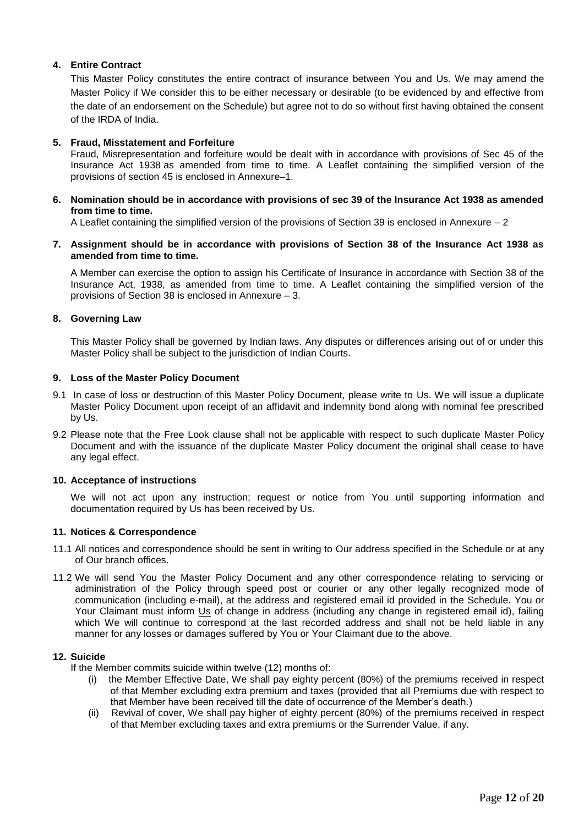## **4. Entire Contract**

This Master Policy constitutes the entire contract of insurance between You and Us. We may amend the Master Policy if We consider this to be either necessary or desirable (to be evidenced by and effective from the date of an endorsement on the Schedule) but agree not to do so without first having obtained the consent of the IRDA of India.

#### **5. Fraud, Misstatement and Forfeiture**

Fraud, Misrepresentation and forfeiture would be dealt with in accordance with provisions of Sec 45 of the Insurance Act 1938 as amended from time to time. A Leaflet containing the simplified version of the provisions of section 45 is enclosed in Annexure–1.

**6. Nomination should be in accordance with provisions of sec 39 of the Insurance Act 1938 as amended from time to time.**

A Leaflet containing the simplified version of the provisions of Section 39 is enclosed in Annexure – 2

**7. Assignment should be in accordance with provisions of Section 38 of the Insurance Act 1938 as amended from time to time.**

A Member can exercise the option to assign his Certificate of Insurance in accordance with Section 38 of the Insurance Act, 1938, as amended from time to time. A Leaflet containing the simplified version of the provisions of Section 38 is enclosed in Annexure – 3.

#### **8. Governing Law**

This Master Policy shall be governed by Indian laws. Any disputes or differences arising out of or under this Master Policy shall be subject to the jurisdiction of Indian Courts.

#### **9. Loss of the Master Policy Document**

- 9.1 In case of loss or destruction of this Master Policy Document, please write to Us. We will issue a duplicate Master Policy Document upon receipt of an affidavit and indemnity bond along with nominal fee prescribed by Us.
- 9.2 Please note that the Free Look clause shall not be applicable with respect to such duplicate Master Policy Document and with the issuance of the duplicate Master Policy document the original shall cease to have any legal effect.

### **10. Acceptance of instructions**

We will not act upon any instruction; request or notice from You until supporting information and documentation required by Us has been received by Us.

### **11. Notices & Correspondence**

- 11.1 All notices and correspondence should be sent in writing to Our address specified in the Schedule or at any of Our branch offices.
- 11.2 We will send You the Master Policy Document and any other correspondence relating to servicing or administration of the Policy through speed post or courier or any other legally recognized mode of communication (including e-mail), at the address and registered email id provided in the Schedule. You or Your Claimant must inform Us of change in address (including any change in registered email id), failing which We will continue to correspond at the last recorded address and shall not be held liable in any manner for any losses or damages suffered by You or Your Claimant due to the above.

#### **12. Suicide**

- If the Member commits suicide within twelve (12) months of:
	- (i) the Member Effective Date, We shall pay eighty percent (80%) of the premiums received in respect of that Member excluding extra premium and taxes (provided that all Premiums due with respect to that Member have been received till the date of occurrence of the Member's death.)
	- (ii) Revival of cover, We shall pay higher of eighty percent (80%) of the premiums received in respect of that Member excluding taxes and extra premiums or the Surrender Value, if any.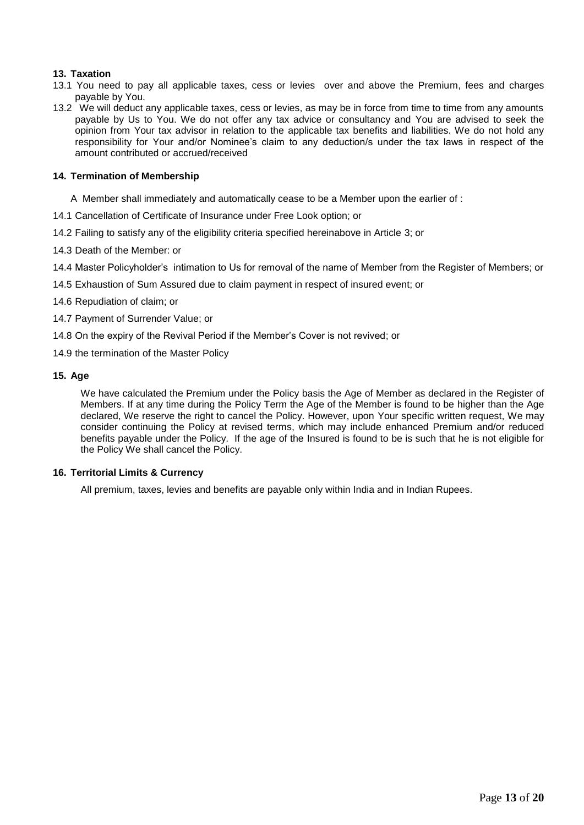### **13. Taxation**

- 13.1 You need to pay all applicable taxes, cess or levies over and above the Premium, fees and charges payable by You.
- 13.2 We will deduct any applicable taxes, cess or levies, as may be in force from time to time from any amounts payable by Us to You. We do not offer any tax advice or consultancy and You are advised to seek the opinion from Your tax advisor in relation to the applicable tax benefits and liabilities. We do not hold any responsibility for Your and/or Nominee's claim to any deduction/s under the tax laws in respect of the amount contributed or accrued/received

### **14. Termination of Membership**

- A Member shall immediately and automatically cease to be a Member upon the earlier of :
- 14.1 Cancellation of Certificate of Insurance under Free Look option; or
- 14.2 Failing to satisfy any of the eligibility criteria specified hereinabove in Article 3; or
- 14.3 Death of the Member: or

14.4 Master Policyholder's intimation to Us for removal of the name of Member from the Register of Members; or

- 14.5 Exhaustion of Sum Assured due to claim payment in respect of insured event; or
- 14.6 Repudiation of claim; or
- 14.7 Payment of Surrender Value; or
- 14.8 On the expiry of the Revival Period if the Member's Cover is not revived; or
- 14.9 the termination of the Master Policy

#### **15. Age**

We have calculated the Premium under the Policy basis the Age of Member as declared in the Register of Members. If at any time during the Policy Term the Age of the Member is found to be higher than the Age declared, We reserve the right to cancel the Policy. However, upon Your specific written request, We may consider continuing the Policy at revised terms, which may include enhanced Premium and/or reduced benefits payable under the Policy. If the age of the Insured is found to be is such that he is not eligible for the Policy We shall cancel the Policy.

### **16. Territorial Limits & Currency**

All premium, taxes, levies and benefits are payable only within India and in Indian Rupees.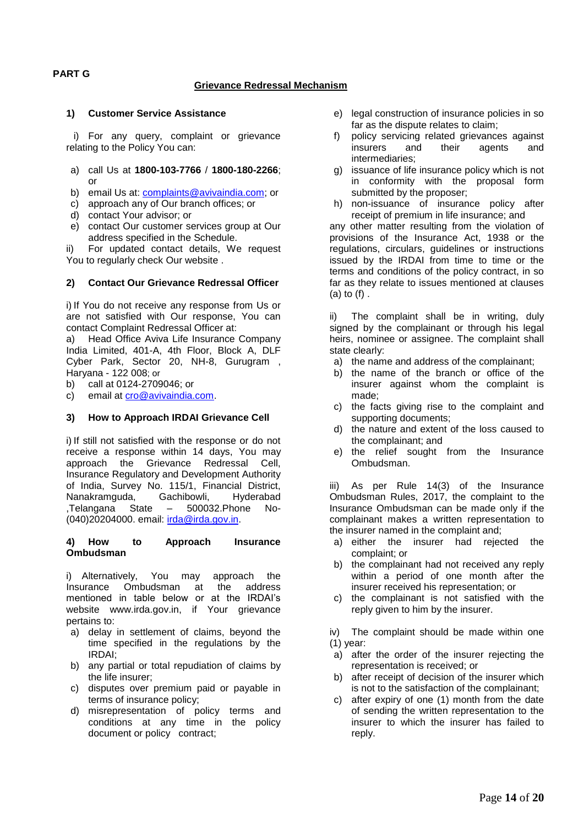#### **PART G**

#### **Grievance Redressal Mechanism**

#### **1) Customer Service Assistance**

i) For any query, complaint or grievance relating to the Policy You can:

- a) call Us at **1800-103-7766** / **1800-180-2266**; or
- b) email Us at: [complaints@avivaindia.com;](mailto:complaints@avivaindia.com) or
- c) approach any of Our branch offices; or
- d) contact Your advisor; or
- e) contact Our customer services group at Our address specified in the Schedule.

ii) For updated contact details, We request You to regularly check Our website .

#### **2) Contact Our Grievance Redressal Officer**

i) If You do not receive any response from Us or are not satisfied with Our response, You can contact Complaint Redressal Officer at:

a) Head Office Aviva Life Insurance Company India Limited, 401-A, 4th Floor, Block A, DLF Cyber Park, Sector 20, NH-8, Gurugram , Haryana - 122 008; or

b) call at 0124-2709046; or

c) email at [cro@avivaindia.com.](mailto:cro@avivaindia.com)

#### **3) How to Approach IRDAI Grievance Cell**

i) If still not satisfied with the response or do not receive a response within 14 days, You may approach the Grievance Redressal Cell, Insurance Regulatory and Development Authority of India, Survey No. 115/1, Financial District, Nanakramguda, Gachibowli, Hyderabad ,Telangana State – 500032.Phone No- (040)20204000. email: [irda@irda.gov.in.](mailto:irda@irda.gov.in)

#### **4) How to Approach Insurance Ombudsman**

i) Alternatively, You may approach the Insurance Ombudsman at the address mentioned in table below or at the IRDAI's website www.irda.gov.in, if Your grievance pertains to:

- a) delay in settlement of claims, beyond the time specified in the regulations by the IRDAI;
- b) any partial or total repudiation of claims by the life insurer;
- c) disputes over premium paid or payable in terms of insurance policy;
- d) misrepresentation of policy terms and conditions at any time in the policy document or policy contract;
- e) legal construction of insurance policies in so far as the dispute relates to claim;
- f) policy servicing related grievances against insurers and their agents and intermediaries;
- g) issuance of life insurance policy which is not in conformity with the proposal form submitted by the proposer;
- h) non-issuance of insurance policy after receipt of premium in life insurance; and

any other matter resulting from the violation of provisions of the Insurance Act, 1938 or the regulations, circulars, guidelines or instructions issued by the IRDAI from time to time or the terms and conditions of the policy contract, in so far as they relate to issues mentioned at clauses (a) to (f) .

ii) The complaint shall be in writing, duly signed by the complainant or through his legal heirs, nominee or assignee. The complaint shall state clearly:

- a) the name and address of the complainant;
- b) the name of the branch or office of the insurer against whom the complaint is made;
- c) the facts giving rise to the complaint and supporting documents;
- d) the nature and extent of the loss caused to the complainant; and
- e) the relief sought from the Insurance Ombudsman.

iii) As per Rule 14(3) of the Insurance Ombudsman Rules, 2017, the complaint to the Insurance Ombudsman can be made only if the complainant makes a written representation to the insurer named in the complaint and;

- a) either the insurer had rejected the complaint; or
- b) the complainant had not received any reply within a period of one month after the insurer received his representation; or
- c) the complainant is not satisfied with the reply given to him by the insurer.
- iv) The complaint should be made within one (1) year:
- a) after the order of the insurer rejecting the representation is received; or
- b) after receipt of decision of the insurer which is not to the satisfaction of the complainant;
- c) after expiry of one (1) month from the date of sending the written representation to the insurer to which the insurer has failed to reply.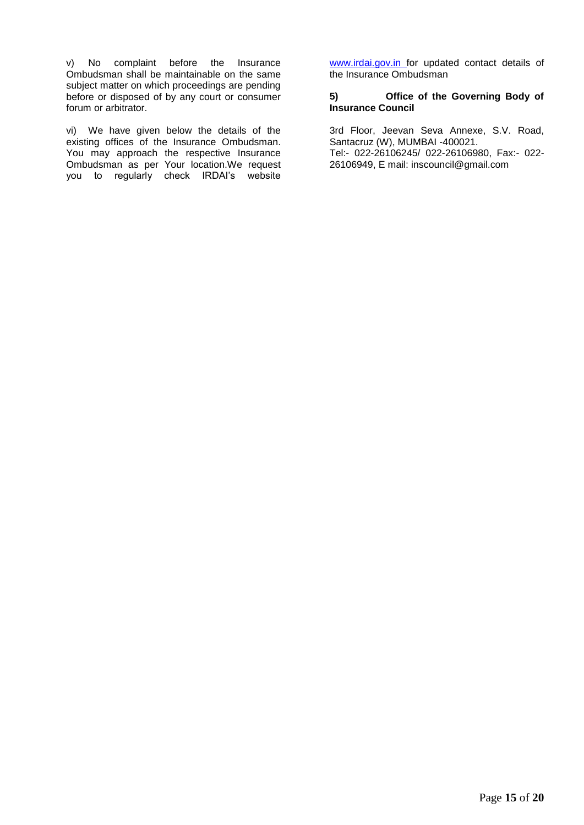v) No complaint before the Insurance Ombudsman shall be maintainable on the same subject matter on which proceedings are pending before or disposed of by any court or consumer forum or arbitrator.

vi) We have given below the details of the existing offices of the Insurance Ombudsman. You may approach the respective Insurance Ombudsman as per Your location.We request you to regularly check IRDAI's website [www.irdai.gov.in f](http://www.irdai.gov.in/)or updated contact details of the Insurance Ombudsman

### **5) Office of the Governing Body of Insurance Council**

3rd Floor, Jeevan Seva Annexe, S.V. Road, Santacruz (W), MUMBAI -400021. Tel:- 022-26106245/ 022-26106980, Fax:- 022- 26106949, E mail: inscouncil@gmail.com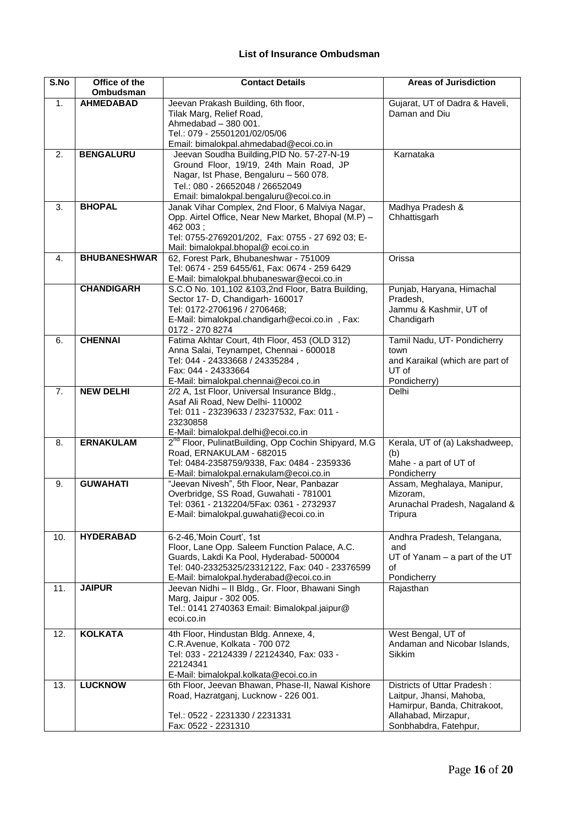# **List of Insurance Ombudsman**

| S.No | Office of the       | <b>Contact Details</b><br><b>Areas of Jurisdiction</b>                               |                                           |
|------|---------------------|--------------------------------------------------------------------------------------|-------------------------------------------|
|      | Ombudsman           |                                                                                      |                                           |
| 1.   | <b>AHMEDABAD</b>    | Jeevan Prakash Building, 6th floor,                                                  | Gujarat, UT of Dadra & Haveli,            |
|      |                     | Tilak Marg, Relief Road,                                                             | Daman and Diu                             |
|      |                     | Ahmedabad - 380 001.<br>Tel.: 079 - 25501201/02/05/06                                |                                           |
|      |                     |                                                                                      |                                           |
| 2.   | <b>BENGALURU</b>    | Email: bimalokpal.ahmedabad@ecoi.co.in<br>Jeevan Soudha Building, PID No. 57-27-N-19 | Karnataka                                 |
|      |                     | Ground Floor, 19/19, 24th Main Road, JP                                              |                                           |
|      |                     | Nagar, Ist Phase, Bengaluru - 560 078.                                               |                                           |
|      |                     | Tel.: 080 - 26652048 / 26652049                                                      |                                           |
|      |                     | Email: bimalokpal.bengaluru@ecoi.co.in                                               |                                           |
| 3.   | <b>BHOPAL</b>       | Janak Vihar Complex, 2nd Floor, 6 Malviya Nagar,                                     | Madhya Pradesh &                          |
|      |                     | Opp. Airtel Office, Near New Market, Bhopal (M.P) -                                  | Chhattisgarh                              |
|      |                     | 462 003;                                                                             |                                           |
|      |                     | Tel: 0755-2769201/202, Fax: 0755 - 27 692 03; E-                                     |                                           |
|      |                     | Mail: bimalokpal.bhopal@ ecoi.co.in                                                  |                                           |
| 4.   | <b>BHUBANESHWAR</b> | 62, Forest Park, Bhubaneshwar - 751009                                               | Orissa                                    |
|      |                     | Tel: 0674 - 259 6455/61, Fax: 0674 - 259 6429                                        |                                           |
|      |                     | E-Mail: bimalokpal.bhubaneswar@ecoi.co.in                                            |                                           |
|      | <b>CHANDIGARH</b>   | S.C.O No. 101,102 & 103, 2nd Floor, Batra Building,                                  | Punjab, Haryana, Himachal                 |
|      |                     | Sector 17- D, Chandigarh- 160017                                                     | Pradesh,                                  |
|      |                     | Tel: 0172-2706196 / 2706468;                                                         | Jammu & Kashmir, UT of                    |
|      |                     | E-Mail: bimalokpal.chandigarh@ecoi.co.in, Fax:                                       | Chandigarh                                |
|      |                     | 0172 - 270 8274                                                                      |                                           |
| 6.   | <b>CHENNAI</b>      | Fatima Akhtar Court, 4th Floor, 453 (OLD 312)                                        | Tamil Nadu, UT- Pondicherry               |
|      |                     | Anna Salai, Teynampet, Chennai - 600018                                              | town                                      |
|      |                     | Tel: 044 - 24333668 / 24335284,                                                      | and Karaikal (which are part of<br>UT of  |
|      |                     | Fax: 044 - 24333664<br>E-Mail: bimalokpal.chennai@ecoi.co.in                         | Pondicherry)                              |
| 7.   | <b>NEW DELHI</b>    | 2/2 A, 1st Floor, Universal Insurance Bldg.,                                         | Delhi                                     |
|      |                     | Asaf Ali Road, New Delhi- 110002                                                     |                                           |
|      |                     | Tel: 011 - 23239633 / 23237532, Fax: 011 -                                           |                                           |
|      |                     | 23230858                                                                             |                                           |
|      |                     | E-Mail: bimalokpal.delhi@ecoi.co.in                                                  |                                           |
| 8.   | <b>ERNAKULAM</b>    | 2 <sup>nd</sup> Floor, PulinatBuilding, Opp Cochin Shipyard, M.G.                    | Kerala, UT of (a) Lakshadweep,            |
|      |                     | Road, ERNAKULAM - 682015                                                             | (b)                                       |
|      |                     | Tel: 0484-2358759/9338, Fax: 0484 - 2359336                                          | Mahe - a part of UT of                    |
|      |                     | E-Mail: bimalokpal.ernakulam@ecoi.co.in                                              | Pondicherry                               |
| 9.   | <b>GUWAHATI</b>     | "Jeevan Nivesh", 5th Floor, Near, Panbazar                                           | Assam, Meghalaya, Manipur,                |
|      |                     | Overbridge, SS Road, Guwahati - 781001                                               | Mizoram,                                  |
|      |                     | Tel: 0361 - 2132204/5Fax: 0361 - 2732937                                             | Arunachal Pradesh, Nagaland &             |
|      |                     | E-Mail: bimalokpal.guwahati@ecoi.co.in                                               | Tripura                                   |
|      |                     |                                                                                      |                                           |
| 10.  | <b>HYDERABAD</b>    | 6-2-46, 'Moin Court', 1st<br>Floor, Lane Opp. Saleem Function Palace, A.C.           | Andhra Pradesh, Telangana,                |
|      |                     | Guards, Lakdi Ka Pool, Hyderabad- 500004                                             | and<br>$UT$ of Yanam $-$ a part of the UT |
|      |                     | Tel: 040-23325325/23312122, Fax: 040 - 23376599                                      | of                                        |
|      |                     | E-Mail: bimalokpal.hyderabad@ecoi.co.in                                              | Pondicherry                               |
| 11.  | <b>JAIPUR</b>       | Jeevan Nidhi - Il Bldg., Gr. Floor, Bhawani Singh                                    | Rajasthan                                 |
|      |                     | Marg, Jaipur - 302 005.                                                              |                                           |
|      |                     | Tel.: 0141 2740363 Email: Bimalokpal.jaipur@                                         |                                           |
|      |                     | ecoi.co.in                                                                           |                                           |
| 12.  | <b>KOLKATA</b>      | 4th Floor, Hindustan Bldg. Annexe, 4,                                                | West Bengal, UT of                        |
|      |                     | C.R.Avenue, Kolkata - 700 072                                                        | Andaman and Nicobar Islands,              |
|      |                     | Tel: 033 - 22124339 / 22124340, Fax: 033 -                                           | Sikkim                                    |
|      |                     | 22124341                                                                             |                                           |
|      |                     | E-Mail: bimalokpal.kolkata@ecoi.co.in                                                |                                           |
| 13.  | <b>LUCKNOW</b>      | 6th Floor, Jeevan Bhawan, Phase-II, Nawal Kishore                                    | Districts of Uttar Pradesh:               |
|      |                     | Road, Hazratganj, Lucknow - 226 001.                                                 | Laitpur, Jhansi, Mahoba,                  |
|      |                     |                                                                                      | Hamirpur, Banda, Chitrakoot,              |
|      |                     | Tel.: 0522 - 2231330 / 2231331                                                       | Allahabad, Mirzapur,                      |
|      |                     | Fax: 0522 - 2231310                                                                  | Sonbhabdra, Fatehpur,                     |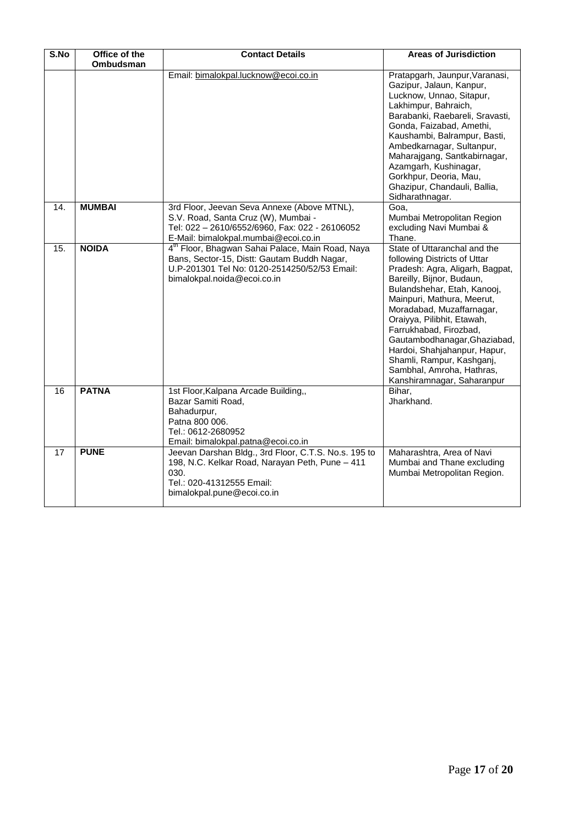| S.No              | Office of the<br>Ombudsman | <b>Contact Details</b>                                                                                                                                                                     | <b>Areas of Jurisdiction</b>                                                                                                                                                                                                                                                                                                                                                                                                           |
|-------------------|----------------------------|--------------------------------------------------------------------------------------------------------------------------------------------------------------------------------------------|----------------------------------------------------------------------------------------------------------------------------------------------------------------------------------------------------------------------------------------------------------------------------------------------------------------------------------------------------------------------------------------------------------------------------------------|
|                   |                            | Email: bimalokpal.lucknow@ecoi.co.in                                                                                                                                                       | Pratapgarh, Jaunpur, Varanasi,<br>Gazipur, Jalaun, Kanpur,<br>Lucknow, Unnao, Sitapur,<br>Lakhimpur, Bahraich,<br>Barabanki, Raebareli, Sravasti,<br>Gonda, Faizabad, Amethi,<br>Kaushambi, Balrampur, Basti,<br>Ambedkarnagar, Sultanpur,<br>Maharajgang, Santkabirnagar,<br>Azamgarh, Kushinagar,<br>Gorkhpur, Deoria, Mau,<br>Ghazipur, Chandauli, Ballia,<br>Sidharathnagar.                                                       |
| 14.               | <b>MUMBAI</b>              | 3rd Floor, Jeevan Seva Annexe (Above MTNL),<br>S.V. Road, Santa Cruz (W), Mumbai -<br>Tel: 022 - 2610/6552/6960, Fax: 022 - 26106052<br>E-Mail: bimalokpal.mumbai@ecoi.co.in               | Goa,<br>Mumbai Metropolitan Region<br>excluding Navi Mumbai &<br>Thane.                                                                                                                                                                                                                                                                                                                                                                |
| $\overline{15}$ . | <b>NOIDA</b>               | 4 <sup>th</sup> Floor, Bhagwan Sahai Palace, Main Road, Naya<br>Bans, Sector-15, Distt: Gautam Buddh Nagar,<br>U.P-201301 Tel No: 0120-2514250/52/53 Email:<br>bimalokpal.noida@ecoi.co.in | State of Uttaranchal and the<br>following Districts of Uttar<br>Pradesh: Agra, Aligarh, Bagpat,<br>Bareilly, Bijnor, Budaun,<br>Bulandshehar, Etah, Kanooj,<br>Mainpuri, Mathura, Meerut,<br>Moradabad, Muzaffarnagar,<br>Oraiyya, Pilibhit, Etawah,<br>Farrukhabad, Firozbad,<br>Gautambodhanagar, Ghaziabad,<br>Hardoi, Shahjahanpur, Hapur,<br>Shamli, Rampur, Kashganj,<br>Sambhal, Amroha, Hathras,<br>Kanshiramnagar, Saharanpur |
| 16                | <b>PATNA</b>               | 1st Floor, Kalpana Arcade Building,,<br>Bazar Samiti Road,<br>Bahadurpur,<br>Patna 800 006.<br>Tel.: 0612-2680952<br>Email: bimalokpal.patna@ecoi.co.in                                    | Bihar,<br>Jharkhand.                                                                                                                                                                                                                                                                                                                                                                                                                   |
| 17                | <b>PUNE</b>                | Jeevan Darshan Bldg., 3rd Floor, C.T.S. No.s. 195 to<br>198, N.C. Kelkar Road, Narayan Peth, Pune - 411<br>030.<br>Tel.: 020-41312555 Email:<br>bimalokpal.pune@ecoi.co.in                 | Maharashtra, Area of Navi<br>Mumbai and Thane excluding<br>Mumbai Metropolitan Region.                                                                                                                                                                                                                                                                                                                                                 |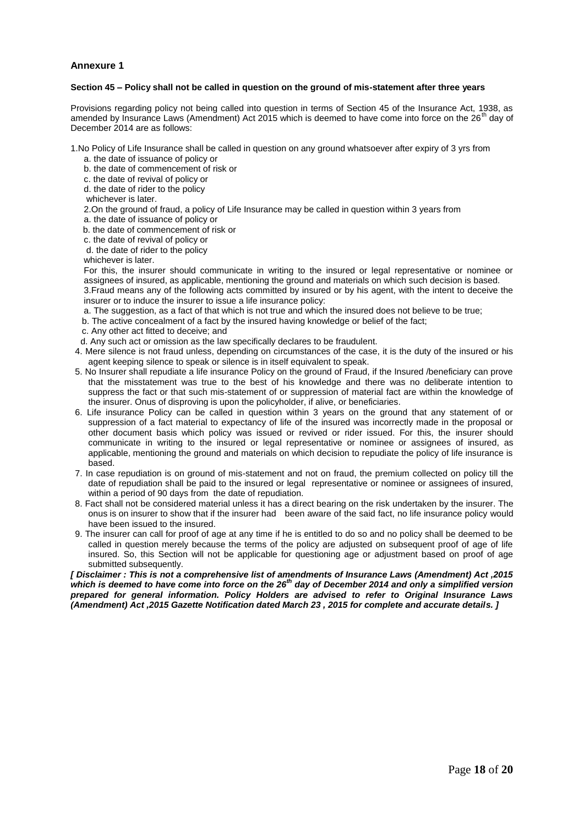#### **Annexure 1**

#### **Section 45 – Policy shall not be called in question on the ground of mis-statement after three years**

Provisions regarding policy not being called into question in terms of Section 45 of the Insurance Act, 1938, as amended by Insurance Laws (Amendment) Act 2015 which is deemed to have come into force on the  $26<sup>th</sup>$  day of December 2014 are as follows:

1.No Policy of Life Insurance shall be called in question on any ground whatsoever after expiry of 3 yrs from

a. the date of issuance of policy or

b. the date of commencement of risk or

c. the date of revival of policy or

d. the date of rider to the policy

whichever is later.

2.On the ground of fraud, a policy of Life Insurance may be called in question within 3 years from

a. the date of issuance of policy or

b. the date of commencement of risk or

c. the date of revival of policy or

d. the date of rider to the policy

whichever is later.

For this, the insurer should communicate in writing to the insured or legal representative or nominee or assignees of insured, as applicable, mentioning the ground and materials on which such decision is based. 3.Fraud means any of the following acts committed by insured or by his agent, with the intent to deceive the

insurer or to induce the insurer to issue a life insurance policy:

a. The suggestion, as a fact of that which is not true and which the insured does not believe to be true;

b. The active concealment of a fact by the insured having knowledge or belief of the fact;

- c. Any other act fitted to deceive; and
- d. Any such act or omission as the law specifically declares to be fraudulent.
- 4. Mere silence is not fraud unless, depending on circumstances of the case, it is the duty of the insured or his agent keeping silence to speak or silence is in itself equivalent to speak.
- 5. No Insurer shall repudiate a life insurance Policy on the ground of Fraud, if the Insured /beneficiary can prove that the misstatement was true to the best of his knowledge and there was no deliberate intention to suppress the fact or that such mis-statement of or suppression of material fact are within the knowledge of the insurer. Onus of disproving is upon the policyholder, if alive, or beneficiaries.
- 6. Life insurance Policy can be called in question within 3 years on the ground that any statement of or suppression of a fact material to expectancy of life of the insured was incorrectly made in the proposal or other document basis which policy was issued or revived or rider issued. For this, the insurer should communicate in writing to the insured or legal representative or nominee or assignees of insured, as applicable, mentioning the ground and materials on which decision to repudiate the policy of life insurance is based.
- 7. In case repudiation is on ground of mis-statement and not on fraud, the premium collected on policy till the date of repudiation shall be paid to the insured or legal representative or nominee or assignees of insured, within a period of 90 days from the date of repudiation.
- 8. Fact shall not be considered material unless it has a direct bearing on the risk undertaken by the insurer. The onus is on insurer to show that if the insurer had been aware of the said fact, no life insurance policy would have been issued to the insured.
- 9. The insurer can call for proof of age at any time if he is entitled to do so and no policy shall be deemed to be called in question merely because the terms of the policy are adjusted on subsequent proof of age of life insured. So, this Section will not be applicable for questioning age or adjustment based on proof of age submitted subsequently.

*[ Disclaimer : This is not a comprehensive list of amendments of Insurance Laws (Amendment) Act ,2015 which is deemed to have come into force on the 26th day of December 2014 and only a simplified version prepared for general information. Policy Holders are advised to refer to Original Insurance Laws (Amendment) Act ,2015 Gazette Notification dated March 23 , 2015 for complete and accurate details. ]*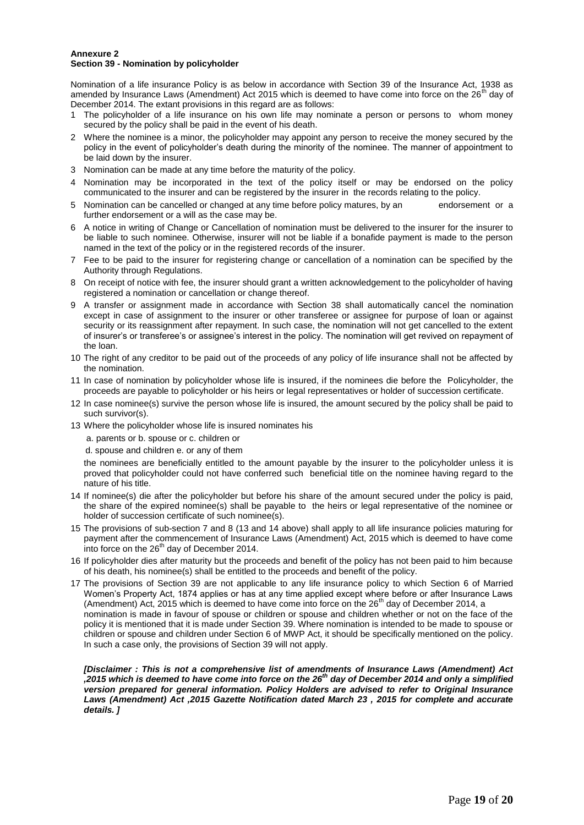#### **Annexure 2 Section 39 - Nomination by policyholder**

Nomination of a life insurance Policy is as below in accordance with Section 39 of the Insurance Act, 1938 as amended by Insurance Laws (Amendment) Act 2015 which is deemed to have come into force on the  $26<sup>th</sup>$  day of December 2014. The extant provisions in this regard are as follows:

- The policyholder of a life insurance on his own life may nominate a person or persons to whom money secured by the policy shall be paid in the event of his death.
- 2 Where the nominee is a minor, the policyholder may appoint any person to receive the money secured by the policy in the event of policyholder's death during the minority of the nominee. The manner of appointment to be laid down by the insurer.
- 3 Nomination can be made at any time before the maturity of the policy.
- 4 Nomination may be incorporated in the text of the policy itself or may be endorsed on the policy communicated to the insurer and can be registered by the insurer in the records relating to the policy.
- 5 Nomination can be cancelled or changed at any time before policy matures, by an endorsement or a further endorsement or a will as the case may be.
- 6 A notice in writing of Change or Cancellation of nomination must be delivered to the insurer for the insurer to be liable to such nominee. Otherwise, insurer will not be liable if a bonafide payment is made to the person named in the text of the policy or in the registered records of the insurer.
- 7 Fee to be paid to the insurer for registering change or cancellation of a nomination can be specified by the Authority through Regulations.
- 8 On receipt of notice with fee, the insurer should grant a written acknowledgement to the policyholder of having registered a nomination or cancellation or change thereof.
- 9 A transfer or assignment made in accordance with Section 38 shall automatically cancel the nomination except in case of assignment to the insurer or other transferee or assignee for purpose of loan or against security or its reassignment after repayment. In such case, the nomination will not get cancelled to the extent of insurer's or transferee's or assignee's interest in the policy. The nomination will get revived on repayment of the loan.
- 10 The right of any creditor to be paid out of the proceeds of any policy of life insurance shall not be affected by the nomination.
- 11 In case of nomination by policyholder whose life is insured, if the nominees die before the Policyholder, the proceeds are payable to policyholder or his heirs or legal representatives or holder of succession certificate.
- 12 In case nominee(s) survive the person whose life is insured, the amount secured by the policy shall be paid to such survivor(s).
- 13 Where the policyholder whose life is insured nominates his

a. parents or b. spouse or c. children or

d. spouse and children e. or any of them

the nominees are beneficially entitled to the amount payable by the insurer to the policyholder unless it is proved that policyholder could not have conferred such beneficial title on the nominee having regard to the nature of his title.

- 14 If nominee(s) die after the policyholder but before his share of the amount secured under the policy is paid, the share of the expired nominee(s) shall be payable to the heirs or legal representative of the nominee or holder of succession certificate of such nominee(s).
- 15 The provisions of sub-section 7 and 8 (13 and 14 above) shall apply to all life insurance policies maturing for payment after the commencement of Insurance Laws (Amendment) Act, 2015 which is deemed to have come  $\frac{1}{1}$  into force on the 26<sup>th</sup> day of December 2014.
- 16 If policyholder dies after maturity but the proceeds and benefit of the policy has not been paid to him because of his death, his nominee(s) shall be entitled to the proceeds and benefit of the policy.
- 17 The provisions of Section 39 are not applicable to any life insurance policy to which Section 6 of Married Women's Property Act, 1874 applies or has at any time applied except where before or after Insurance Laws (Amendment) Act, 2015 which is deemed to have come into force on the 26<sup>th</sup> day of December 2014, a nomination is made in favour of spouse or children or spouse and children whether or not on the face of the policy it is mentioned that it is made under Section 39. Where nomination is intended to be made to spouse or children or spouse and children under Section 6 of MWP Act, it should be specifically mentioned on the policy. In such a case only, the provisions of Section 39 will not apply.

*[Disclaimer : This is not a comprehensive list of amendments of Insurance Laws (Amendment) Act ,2015 which is deemed to have come into force on the 26th day of December 2014 and only a simplified version prepared for general information. Policy Holders are advised to refer to Original Insurance Laws (Amendment) Act ,2015 Gazette Notification dated March 23 , 2015 for complete and accurate details. ]*